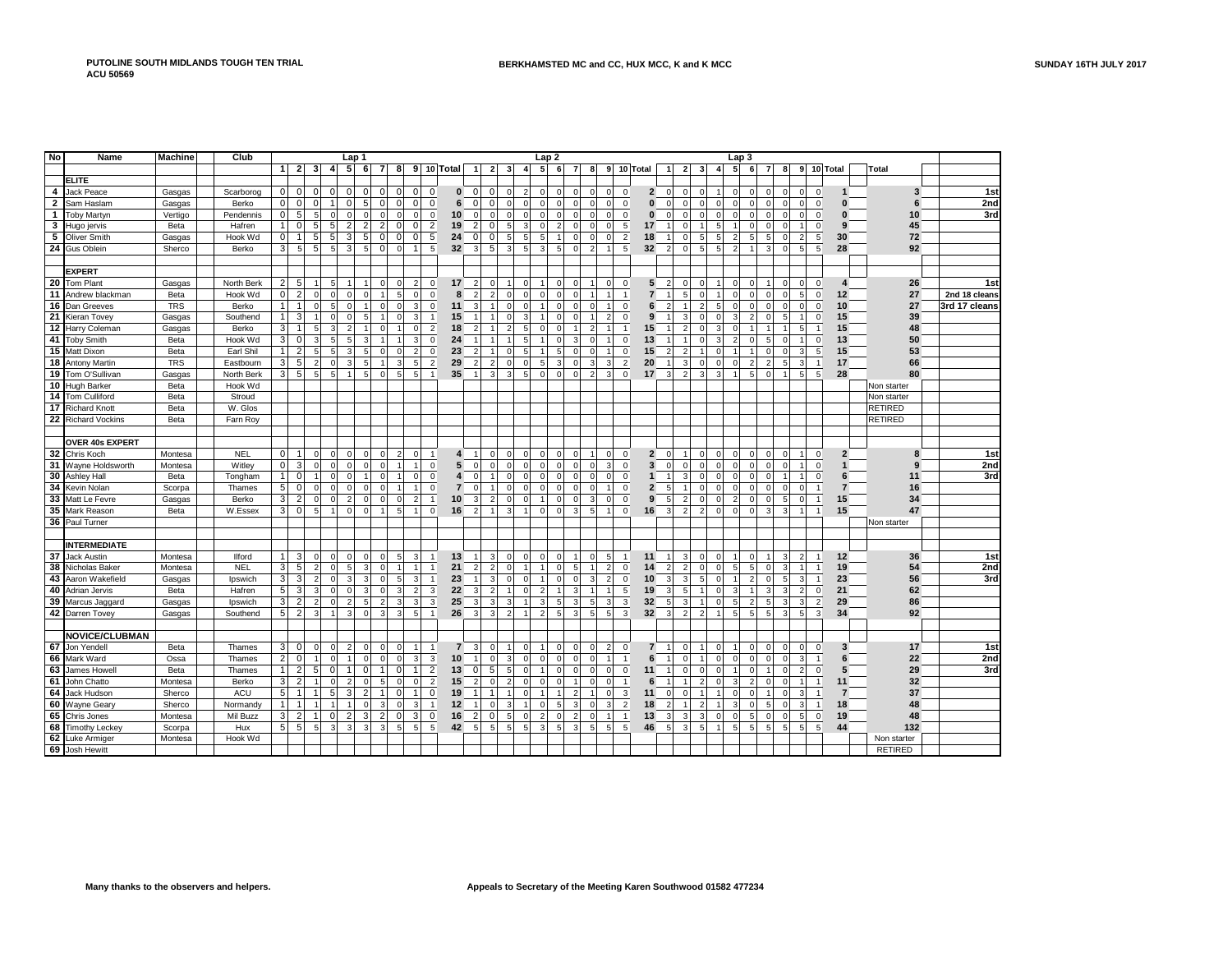| No             | <b>Name</b>           | <b>Machine</b> | Club          |                 |                   |                |                | Lap 1                   |                                  |                |                                  |                |                         |                                  |                |                     |                | Lap <sub>2</sub> |                |                |                                  |                |                 |                |                |                |                | Lap <sub>3</sub> |                |                          |                |                |                                  |                |                |               |
|----------------|-----------------------|----------------|---------------|-----------------|-------------------|----------------|----------------|-------------------------|----------------------------------|----------------|----------------------------------|----------------|-------------------------|----------------------------------|----------------|---------------------|----------------|------------------|----------------|----------------|----------------------------------|----------------|-----------------|----------------|----------------|----------------|----------------|------------------|----------------|--------------------------|----------------|----------------|----------------------------------|----------------|----------------|---------------|
|                |                       |                |               |                 | $1 \vert 2 \vert$ | $\mathbf{3}$   | $\overline{4}$ | 5 <sup>1</sup>          | 6                                | $\overline{7}$ | 8                                |                | $9$ 10 Total            | $\vert$                          | $\overline{2}$ | 3                   | 4              | 5 <sup>1</sup>   | 6              | $\overline{7}$ | 8                                |                | 9 10 Total      | $\overline{1}$ | $\overline{2}$ | - 31           | $\overline{a}$ | 5 <sup>1</sup>   | 6              | 7                        | 8              |                | 9 10 Total                       |                | Total          |               |
|                | <b>ELITE</b>          |                |               |                 |                   |                |                |                         |                                  |                |                                  |                |                         |                                  |                |                     |                |                  |                |                |                                  |                |                 |                |                |                |                |                  |                |                          |                |                |                                  |                |                |               |
| 4              | Jack Peace            | Gasgas         | Scarborog     | $\overline{0}$  | $\mathbf 0$       | $\overline{0}$ | $\Omega$       | 0                       | $\overline{0}$<br>$\mathbf 0$    |                | $\overline{0}$<br>$\Omega$       | $\mathbf 0$    |                         | $\Omega$<br>$\mathbf{0}$         | $\overline{0}$ | $\mathbf{0}$        |                | $\Omega$         | $\Omega$       | $\Omega$       | $\Omega$<br>$\Omega$             | 0              | $\overline{2}$  | $\Omega$       | $\Omega$       | $\Omega$       |                | $\Omega$         | $\overline{0}$ | $\Omega$                 | $\Omega$       | $\Omega$       | $\mathbf 0$<br>$\mathbf{1}$      |                | 3              | 1st           |
| $\overline{2}$ | Sam Haslam            | Gasgas         | Berko         | $\overline{0}$  | $\mathbf 0$       | $\Omega$       |                | $\Omega$                | 5 <sup>1</sup><br>$\mathbf 0$    |                | $\overline{0}$<br>$\Omega$       | $\mathbf{0}$   |                         | 6<br>$\Omega$                    | $\mathbf 0$    | $\mathbf{0}$        | $\Omega$       | $\Omega$         | $\Omega$       | $\Omega$       | $\Omega$<br>$\Omega$             | $\mathbf 0$    | $\bf{0}$        | $\Omega$       | $\Omega$       | $\Omega$       | $\Omega$       | $\mathbf 0$      | $\Omega$       |                          | $\Omega$       |                | $\mathbf 0$<br>$\bf{0}$          |                | 6              | 2nd           |
|                | 1 Toby Martyn         | Vertigo        | Pendennis     | $\overline{0}$  | $\overline{5}$    | 5              | $\mathbf 0$    | $\overline{0}$          | $\mathsf 0$<br>$\Omega$          |                | $\Omega$<br>$\overline{0}$       | $\mathbf{0}$   | 10 <sup>1</sup>         | $\mathbf{0}$                     | $\mathbf 0$    | $\mathbf 0$         | $\Omega$       | $\overline{0}$   | $\Omega$       | $\mathbf 0$    | οI<br>$\overline{0}$             | $\mathbf 0$    | $\bf{0}$        | <sup>0</sup>   | $\mathbf 0$    | $\circ$        | $\Omega$       | $\mathbf 0$      | $\overline{0}$ | $\Omega$                 | $\mathbf{0}$   |                | $\mathbf 0$<br>$\bf{0}$          |                | 10             | 3rd           |
|                | 3 Hugo jervis         | Beta           | Hafren        | 11              | $\mathbf 0$       | 5 <sup>1</sup> | 5              | $\overline{2}$          | $\overline{2}$                   |                | $\Omega$<br>$\overline{0}$       | $\overline{2}$ | 19                      | 2 <sup>1</sup>                   | $\mathbf 0$    | 5 <sup>1</sup>      |                | $\Omega$         |                | $\Omega$       | 0<br>$\Omega$                    | 5              | 17              |                | $\Omega$       |                |                |                  | $\Omega$       |                          | $\Omega$       |                | $\Omega$<br>9                    |                | 45             |               |
|                | 5 Oliver Smith        | Gasgas         | Hook Wd       | $\overline{0}$  | $\mathbf{1}$      | 5 <sub>l</sub> | 5 <sub>5</sub> | 3                       | 5 <sup>5</sup><br>$\mathbf 0$    |                | $\overline{0}$<br>$\overline{0}$ | 5              | 24                      | $\overline{0}$                   | $\mathbf 0$    | $5\overline{5}$     | 5 <sub>l</sub> | 5 <sup>5</sup>   | $\overline{1}$ | $\overline{0}$ | οI<br>$\circ$                    | $\sqrt{2}$     | 18              |                | $\overline{0}$ | 5              | 5              | $\overline{2}$   | 5 <sub>5</sub> | 5                        | $\mathbf{0}$   | $\overline{2}$ | 5<br>30                          |                | 72             |               |
|                | 24 Gus Oblein         | Sherco         | Berko         | 3 <sup>1</sup>  | 5                 | 5              | 5 <sub>5</sub> | $\overline{3}$          | $\mathbf 0$<br>5                 |                | $\circ$<br>$\overline{1}$        | 5              | 32                      | $\overline{3}$                   | 5              | $\overline{3}$      | 5 <sup>1</sup> | $\overline{3}$   | 5              | $\Omega$       | $\overline{2}$<br>$\overline{1}$ | 5              | 32              | $\overline{2}$ | $\Omega$       | 5              | 5              | $\overline{2}$   |                | 3                        | $\mathbf{0}$   | 5              | 5<br>28                          |                | 92             |               |
|                |                       |                |               |                 |                   |                |                |                         |                                  |                |                                  |                |                         |                                  |                |                     |                |                  |                |                |                                  |                |                 |                |                |                |                |                  |                |                          |                |                |                                  |                |                |               |
|                | <b>EXPERT</b>         |                |               |                 |                   |                |                |                         |                                  |                |                                  |                |                         |                                  |                |                     |                |                  |                |                |                                  |                |                 |                |                |                |                |                  |                |                          |                |                |                                  |                |                |               |
|                | 20 Tom Plant          | Gasgas         | North Berk    | 2               | 5                 |                | 5              |                         | $\Omega$                         |                | $\overline{2}$<br>0              | $\mathbf 0$    | 17                      | $\overline{2}$                   | $\Omega$       | 1                   | $\Omega$       |                  | $\Omega$       | $\Omega$       | $\mathbf{1}$<br>$\overline{0}$   | 0              | 5               | $\overline{2}$ | $\mathbf 0$    | $\Omega$       |                | $\Omega$         | $\overline{0}$ |                          | $\Omega$       | $\mathbf 0$    | 0<br>4                           |                | 26             | 1st           |
|                | 11 Andrew blackman    | Beta           | Hook Wd       | $\overline{0}$  | $\overline{2}$    | $\mathbf 0$    | $\Omega$       | $\Omega$                | $\Omega$<br>$\overline{1}$       |                | 5 <sup>1</sup><br>$\mathbf{0}$   | $\mathbf 0$    | 8                       | $\overline{2}$                   | $\overline{2}$ | $\mathsf{O}\xspace$ | ΩI             | $\Omega$         | $\mathbf 0$    | $\Omega$       | $\mathbf{1}$<br>$\overline{1}$   | $\overline{1}$ | $\overline{7}$  | $\overline{1}$ | 5 <sub>1</sub> | $\Omega$       |                | $\Omega$         | $\mathbf{0}$   | $\Omega$                 | $\mathbf{0}$   | 5              | $\mathsf 0$<br>12                |                | 27             | 2nd 18 cleans |
|                | 16 Dan Greeves        | <b>TRS</b>     | Berko         | 11              | $\mathbf{1}$      | $\mathbf 0$    | 5              | $\circ$                 | $\mathbf 0$                      |                | $\Omega$<br>3 <sup>1</sup>       | $\mathbf 0$    | 11                      | $\overline{3}$                   | $\overline{1}$ | $\mathbf{0}$        | $\Omega$       |                  | $\Omega$       | $\Omega$       | ΩI<br>$\overline{1}$             | $\mathbf 0$    | 6               | $\overline{a}$ | $\overline{1}$ | $\overline{2}$ | 5              | $\mathbf 0$      | $\circ$        | $\Omega$                 | $\mathbf{0}$   | $\Omega$       | $\mathbf 0$<br>10 <sup>1</sup>   |                | 27             | 3rd 17 cleans |
|                | 21 Kieran Tovey       | Gasgas         | Southend      | 1 <sup>1</sup>  | 3                 |                |                | $\Omega$                | 5                                |                | $\overline{3}$<br>$\Omega$       | $\overline{1}$ | 15                      | $\overline{1}$                   |                | $\Omega$            |                |                  |                | $\sqrt{2}$     | $\mathbf{1}$<br>$\overline{2}$   | $\mathbf 0$    | 9               |                | $\mathbf{3}$   | $\Omega$       |                | 3                | $\overline{2}$ |                          | 5              |                | 15<br>$\mathbf 0$                |                | 39             |               |
|                | 12 Harry Coleman      | Gasgas         | Berko         | 3 <sup>1</sup>  | $\mathbf{1}$      | 5 <sup>1</sup> | 3              | $\overline{2}$          | $^{\circ}$<br>$\overline{1}$     |                | $\overline{0}$                   | $\overline{2}$ | 18                      | 2 <sup>1</sup>                   | $\overline{1}$ | $\overline{2}$      | 5 <sub>l</sub> | $\Omega$         | $\overline{0}$ | $\overline{1}$ | $\overline{2}$<br>1              | $\overline{1}$ | 15              | $\overline{1}$ | $\overline{2}$ | $\mathbf 0$    | 3              | $\Omega$         | $\mathbf{1}$   |                          | $\overline{1}$ | -5             | 15<br>$\overline{1}$             |                | 48             |               |
|                | 41 Toby Smith         |                | Hook Wd       | 3               | $\pmb{0}$         | $\mathbf{3}$   | 5              | 5                       | 3                                |                | 3                                | $\mathbf{0}$   | 24                      | $\mathbf{1}$                     |                | $\mathbf{1}$        | 5              |                  | $\Omega$       | 3              | ΩI<br>$\overline{1}$             |                | 13              |                | $\overline{1}$ | $\Omega$       |                | $\overline{2}$   | $\Omega$       | 5                        | $\Omega$       |                | 13                               |                | 50             |               |
|                | 15 Matt Dixon         | Beta           | Earl Shil     | 11              | $\overline{2}$    | 5              | 5 <sub>5</sub> | $\overline{3}$          | 5<br>$\mathbf 0$                 |                | 2 <sub>1</sub><br>$\Omega$       |                | 23                      | 2 <sup>1</sup>                   | $\overline{1}$ |                     | 5 <sub>l</sub> |                  | 5 <sub>l</sub> | $\Omega$       | 0<br>1                           | $\mathbf 0$    | 15              | $\overline{2}$ | $\overline{2}$ |                | $\Omega$       | $\overline{1}$   | $\overline{1}$ | $\Omega$                 | $\mathbf{0}$   | 3 <sup>1</sup> | $\mathsf 0$<br>5<br>15           |                | 53             |               |
|                |                       | Beta           |               |                 |                   |                |                |                         |                                  |                |                                  | $\mathbf 0$    |                         |                                  |                | $\mathbf 0$         |                |                  |                |                |                                  | $\mathbf 0$    |                 |                |                |                |                |                  |                |                          |                |                |                                  |                |                |               |
|                | 18 Antony Martin      | <b>TRS</b>     | Eastbourn     | 3               | $5\overline{)}$   | $\overline{2}$ | $\Omega$       | 3 <sup>1</sup>          | 5<br>$\overline{1}$              |                | 3<br>5 <sup>1</sup>              | $\overline{2}$ | 29                      | $\overline{2}$                   | $\overline{2}$ | $\mathbf{0}$        | $\Omega$       | 5 <sup>5</sup>   | 3              | $\Omega$       | 3 <sup>1</sup><br>$\overline{3}$ | $\overline{2}$ | 20              |                | $\mathbf{3}$   | $\mathbf 0$    | $\Omega$       | $\mathbf 0$      | $\overline{2}$ | $\overline{\phantom{a}}$ | 5              | 3              | $\overline{1}$<br>17             |                | 66             |               |
|                | 19 Tom O'Sullivan     | Gasgas         | North Berk    | 3 <sup>1</sup>  | 5                 | $\overline{5}$ | 5              |                         | 5<br>$\Omega$                    |                | 5 <sup>1</sup><br>5 <sup>1</sup> | $\overline{1}$ | 35                      |                                  | 3              | $\overline{3}$      | 5              | $\Omega$         |                | $\Omega$       | $\overline{2}$<br>$\mathbf{3}$   | $\mathbf 0$    | 17              | 3              | $\overline{2}$ | 3              |                |                  | 5              |                          |                |                | 5<br>28                          |                | 80             |               |
|                | 10 Hugh Barker        | Beta           | Hook Wd       |                 |                   |                |                |                         |                                  |                |                                  |                |                         |                                  |                |                     |                |                  |                |                |                                  |                |                 |                |                |                |                |                  |                |                          |                |                |                                  |                | Non starter    |               |
|                | 14 Tom Culliford      | Beta           | Stroud        |                 |                   |                |                |                         |                                  |                |                                  |                |                         |                                  |                |                     |                |                  |                |                |                                  |                |                 |                |                |                |                |                  |                |                          |                |                |                                  |                | Non starter    |               |
|                | 17 Richard Knott      | Beta           | W. Glos       |                 |                   |                |                |                         |                                  |                |                                  |                |                         |                                  |                |                     |                |                  |                |                |                                  |                |                 |                |                |                |                |                  |                |                          |                |                |                                  |                | <b>RETIRED</b> |               |
|                | 22 Richard Vockins    | Beta           | Farn Roy      |                 |                   |                |                |                         |                                  |                |                                  |                |                         |                                  |                |                     |                |                  |                |                |                                  |                |                 |                |                |                |                |                  |                |                          |                |                |                                  |                | RETIRED        |               |
|                |                       |                |               |                 |                   |                |                |                         |                                  |                |                                  |                |                         |                                  |                |                     |                |                  |                |                |                                  |                |                 |                |                |                |                |                  |                |                          |                |                |                                  |                |                |               |
|                | OVER 40s EXPERT       |                |               |                 |                   |                |                |                         |                                  |                |                                  |                |                         |                                  |                |                     |                |                  |                |                |                                  |                |                 |                |                |                |                |                  |                |                          |                |                |                                  |                |                |               |
|                | 32 Chris Koch         | Montesa        | <b>NEL</b>    | $\overline{0}$  | $\overline{1}$    | $\mathbf 0$    | $\Omega$       | $\mathbf{0}$            | $\Omega$<br>$\Omega$             |                | $\overline{2}$<br>$\overline{0}$ | $\overline{1}$ |                         | $\overline{4}$<br>$\overline{1}$ | $\Omega$       | $\mathbf{0}$        |                | $\Omega$         | $\Omega$       | $\mathbf 0$    | $\overline{0}$                   | 0              | $\mathbf{2}$    | $\Omega$       | 1              | $\Omega$       | $\Omega$       | $\Omega$         | $\overline{0}$ | $\Omega$                 | $\Omega$       |                | $\mathbf 0$                      | $\overline{2}$ | 8              | 1st           |
|                | 31 Wayne Holdsworth   | Montesa        | Witley        | 0               | 3                 | $\circ$        | $\Omega$       | $\circ$                 | $\Omega$<br>$\mathbf 0$          |                | 1                                | $\mathbf{0}$   |                         | 5<br>$\circ$                     | $\mathbf 0$    | $\mathbf{0}$        | $\Omega$       | $\circ$          | $\Omega$       | $\Omega$       | οI<br>$\overline{3}$             | $\mathbf 0$    | $3\phantom{a}$  | $\mathbf 0$    | $\mathbf{0}$   | $\mathbf 0$    | $\Omega$       | $\mathbf 0$      | $\circ$        | $\Omega$                 | $\mathbf{0}$   |                | $\mathbf 0$                      | $\mathbf{1}$   | 9              | 2nd           |
|                | 30 Ashley Hall        | Beta           | Tongham       | 11              | $\mathbf 0$       | $\overline{1}$ | $\Omega$       | $\mathbf{0}$            | $\mathbf 0$                      |                | $\Omega$                         | $\mathbf 0$    | $\overline{\mathbf{4}}$ | $\Omega$                         |                | $\mathbf{0}$        | ΩI             | $\overline{0}$   | $\Omega$       | $\Omega$       | ΩI<br>$\Omega$                   | $\mathbf 0$    | $\mathbf{1}$    | $\overline{1}$ | 3              | $\circ$        | $\Omega$       | $\mathbf 0$      | $\mathbf{0}$   | $\Omega$                 |                |                | $\mathbf 0$<br>6                 |                | 11             | 3rd           |
|                | 34 Kevin Nolan        | Scorpa         | Thames        | 5 <sup>1</sup>  | $\mathbf 0$       | $\Omega$       |                | $\Omega$                | $\Omega$<br>$\Omega$             |                | $\mathbf{1}$                     | $\mathbf{0}$   | $\overline{7}$          | $\Omega$                         |                | $\Omega$            |                | $\Omega$         |                | $\Omega$       | ΩI                               | $\mathbf 0$    | $\overline{2}$  | 5              |                | $\Omega$       |                | $\Omega$         | $\Omega$       |                          | $\Omega$       |                | $\overline{1}$<br>$\overline{7}$ |                | 16             |               |
|                | 33 Matt Le Fevre      | Gasgas         | Berko         | 3 <sup>1</sup>  | $\overline{2}$    | <sup>o</sup>   | $\mathbf 0$    | $\overline{2}$          | $\overline{0}$<br>$\mathbf 0$    |                | 2 <sup>1</sup><br>$\Omega$       | $\mathbf{1}$   | 10 <sup>1</sup>         | 3 <sup>1</sup>                   | $\overline{c}$ | $\mathbf{0}$        | ΩI             | $\overline{1}$   | $\mathbf 0$    | $\overline{0}$ | 3 <sup>1</sup><br>$\overline{0}$ | $\mathbf 0$    | 9               | 5 <sup>1</sup> | $\overline{2}$ | $\mathbf 0$    | $\mathbf{0}$   | $\overline{2}$   | $\overline{0}$ | 0                        | 5 <sub>5</sub> | <sup>0</sup>   | 15<br>$\mathbf{1}$               |                | 34             |               |
|                | 35 Mark Reason        | Beta           | W.Essex       | 3 <sup>1</sup>  | $\overline{0}$    | 5              |                | $\Omega$                | $\Omega$<br>$\overline{1}$       |                | 5 <sup>1</sup><br>1              | $\mathbf{0}$   | 16                      | $\overline{2}$                   |                | $\overline{3}$      |                | $\Omega$         | $\Omega$       | 3              | 5 <sup>1</sup><br>$\overline{1}$ | $\mathbf 0$    | 16              | $\overline{3}$ | $\overline{2}$ | $\overline{2}$ | $\Omega$       | $\mathbf 0$      | $\mathbf{0}$   | 3                        | 3              |                | 15<br>$\overline{1}$             |                | 47             |               |
|                | 36 Paul Turner        |                |               |                 |                   |                |                |                         |                                  |                |                                  |                |                         |                                  |                |                     |                |                  |                |                |                                  |                |                 |                |                |                |                |                  |                |                          |                |                |                                  |                | Non starter    |               |
|                |                       |                |               |                 |                   |                |                |                         |                                  |                |                                  |                |                         |                                  |                |                     |                |                  |                |                |                                  |                |                 |                |                |                |                |                  |                |                          |                |                |                                  |                |                |               |
|                | <b>INTERMEDIATE</b>   |                |               |                 |                   |                |                |                         |                                  |                |                                  |                |                         |                                  |                |                     |                |                  |                |                |                                  |                |                 |                |                |                |                |                  |                |                          |                |                |                                  |                |                |               |
|                | 37 Jack Austin        | Montesa        | <b>Ilford</b> | 11              | 3                 | $\mathbf 0$    | $\Omega$       | $\mathbf{0}$            | $\overline{0}$<br>$^{\circ}$     |                | 5 <sup>1</sup><br>3 <sup>1</sup> | $\overline{1}$ | 13                      | $\overline{1}$                   | $\mathbf{3}$   | $\mathbf 0$         | $\Omega$       | $\overline{0}$   | $\Omega$       | $\overline{1}$ | 5 <sub>5</sub><br>0              | $\overline{1}$ | 11              | $\overline{1}$ | $\mathbf{3}$   | $\mathbf 0$    | $\Omega$       |                  | $\overline{0}$ | $\overline{1}$           | $\mathbf{3}$   | $\overline{2}$ | $\overline{1}$<br>12             |                | 36             | 1st           |
|                | 38 Nicholas Baker     | Montesa        | <b>NEL</b>    | $3\overline{)}$ | $\overline{5}$    | $\mathbf 2$    | $\Omega$       | 5                       | $\Omega$                         |                | 11                               | $\overline{1}$ | 21                      | 2 <sub>1</sub>                   | $\overline{2}$ | $\mathbf 0$         |                |                  | $\Omega$       | 5              | $\mathbf{1}$<br>$\overline{2}$   | $\mathbf 0$    | 14              | $\overline{2}$ | $\overline{2}$ | $\mathbf 0$    | $\Omega$       | 5                | $\overline{5}$ | $\Omega$                 | 3              | $\mathbf{1}$   | 19<br>$\overline{1}$             |                | 54             | 2nd           |
|                | 43 Aaron Wakefield    | Gasgas         | Ipswich       | 3               | $\overline{3}$    | $\overline{2}$ | $\Omega$       | 3                       | $\overline{3}$<br>0              |                | 5 <sup>1</sup><br>$\mathbf{3}$   | $\overline{1}$ | 23                      | $\mathbf{1}$                     | $\mathbf{3}$   | $\mathbf 0$         | $\Omega$       |                  | $\mathbf 0$    | $\Omega$       | 3 <sup>1</sup><br>$\overline{2}$ | $\pmb{0}$      | 10 <sup>1</sup> | 3              | $\mathbf{3}$   | 5              | $\Omega$       | $\overline{1}$   | $\overline{2}$ | $\Omega$                 | 5              | 3              | 23<br>$\overline{1}$             |                | 56             | 3rd           |
|                | 40 Adrian Jervis      | Beta           | Hafren        | 5 <sup>1</sup>  | 3                 | 3              | $\Omega$       | $\overline{0}$          | $\overline{3}$<br>$^{\circ}$     |                | $\mathbf{R}$<br>$\overline{2}$   | 3              | 22                      | $\overline{3}$                   | $\overline{2}$ | $\overline{1}$      | ΩI             | $\overline{2}$   |                | 3              | $\vert$<br>1                     | 5              | 19              | 3              | 5              |                | $\Omega$       | 3                |                | 3                        | $\mathbf{R}$   | $\overline{2}$ | 21<br>$\mathbf 0$                |                | 62             |               |
|                | 39 Marcus Jaggard     | Gasgas         | Ipswich       | 3               | $\overline{2}$    | $\overline{2}$ |                | $\overline{2}$          | 5<br>$\overline{2}$              |                | $\overline{3}$<br>$\overline{3}$ | $\mathbf{3}$   | 25                      | 3                                | 3              | 3                   |                | 3                | 5              | 3              | 5 <sup>1</sup><br>3              | $\sqrt{3}$     | 32              | 5              | $\mathbf{3}$   |                | $\Omega$       | 5                | $\overline{2}$ | 5                        | 3              |                | $\overline{c}$<br>29             |                | 86             |               |
|                | 42 Darren Tovey       | Gasgas         | Southend      | 5 <sup>1</sup>  | $\overline{2}$    | $\overline{3}$ | $\overline{1}$ | $\overline{3}$          | 3<br>$\Omega$                    |                | 3 <sup>1</sup><br>5 <sup>1</sup> | $\overline{1}$ | 26                      | $\overline{3}$                   | 3              | $\overline{2}$      |                | $\overline{2}$   | 5              | 3              | 5 <sup>1</sup><br>5 <sup>1</sup> | 3              | 32 <sup>2</sup> | $\overline{3}$ | $\overline{2}$ | $\mathfrak{D}$ |                | 5                | 5 <sub>5</sub> | 5                        | $\overline{3}$ | $\overline{5}$ | 3<br>34                          |                | 92             |               |
|                |                       |                |               |                 |                   |                |                |                         |                                  |                |                                  |                |                         |                                  |                |                     |                |                  |                |                |                                  |                |                 |                |                |                |                |                  |                |                          |                |                |                                  |                |                |               |
|                | <b>NOVICE/CLUBMAN</b> |                |               |                 |                   |                |                |                         |                                  |                |                                  |                |                         |                                  |                |                     |                |                  |                |                |                                  |                |                 |                |                |                |                |                  |                |                          |                |                |                                  |                |                |               |
|                | 67 Jon Yendell        | Beta           | Thames        | 3 <sup>1</sup>  | $\mathbf 0$       | $\circ$        | $\overline{0}$ | $\overline{2}$          | $\overline{0}$<br>$\Omega$       |                | $\overline{0}$<br>11             | $\mathbf{1}$   |                         | $\overline{7}$<br>$\overline{3}$ | $\mathbf 0$    | $\mathbf{1}$        | <sup>0</sup>   |                  | $\Omega$       | $\Omega$       | 0<br>$\overline{2}$              | $\mathbf 0$    | $\overline{7}$  | $\overline{1}$ | $\overline{0}$ | $\overline{1}$ | $\Omega$       | $\overline{1}$   | $\circ$        | $\Omega$                 | $\mathbf{0}$   | $\overline{0}$ | $\mathbf 0$                      | $\mathbf{3}$   | 17             | 1st           |
|                | 66 Mark Ward          | Ossa           | Thames        | 2 <sup>1</sup>  | $\mathbf 0$       |                |                |                         | $\Omega$                         |                | $\Omega$<br>$\overline{3}$       | 3              | 10                      |                                  | $\Omega$       | 3                   |                | $\Omega$         |                | $\Omega$       | οI<br>$\overline{1}$             | $\overline{1}$ | 6               |                | $\Omega$       |                | $\Omega$       | $\Omega$         | $\Omega$       |                          | $\Omega$       | $\mathbf{3}$   | $\overline{1}$<br>6              |                | 22             | 2nd           |
| 63             | James Howell          | Beta           | Thames        | 11              | $\overline{2}$    | 5 <sub>l</sub> | 0              | $\mathbf{1}$            | $\overline{0}$<br>$\mathbf{1}$   |                | 0<br>11                          | $\overline{2}$ | 13                      | $\overline{0}$                   | 5              | 5 <sub>5</sub>      | $\circ$        |                  | $\mathbf 0$    | $\overline{0}$ | οI<br> 0                         | $\mathbf 0$    | 11              | $\overline{1}$ | $\mathbf 0$    | $\mathbf 0$    | $\Omega$       | $\overline{1}$   | $\overline{0}$ | $\overline{1}$           | $\mathbf{0}$   | 2 <sup>1</sup> | $\mathbf 0$                      | 5              | 29             | 3rd           |
|                | 61 John Chatto        | Montesa        | Berko         | 3 <sup>1</sup>  | $\overline{2}$    | $\overline{1}$ | $\Omega$       | $\overline{2}$          | $\overline{0}$<br>5              |                | $\Omega$<br>$\Omega$             | $\overline{2}$ | 15                      | $\overline{2}$                   | $\mathbf 0$    | $\overline{2}$      | $\Omega$       | $\Omega$         | $\Omega$       |                | οI<br>$\overline{0}$             | $\overline{1}$ | 6               |                | $\overline{1}$ |                | $\Omega$       | 3                | $\overline{2}$ | $\Omega$                 | $\Omega$       |                | $\overline{1}$<br>11             |                | 32             |               |
|                | 64 Jack Hudson        | Sherco         | <b>ACU</b>    | 5 <sup>1</sup>  | $\mathbf{1}$      | 1              | 5 <sub>5</sub> | 3                       | $\overline{2}$<br>$\mathbf{1}$   |                | $\overline{0}$<br>11             | $\overline{0}$ | 19                      | $\mathbf{1}$                     | $\overline{1}$ | 1                   | $\mathbf 0$    |                  | $\overline{1}$ | $\overline{2}$ | 11<br>$\overline{0}$             | 3              | 11              | $\mathbf 0$    | $\mathbf 0$    |                |                | $\mathbf 0$      | $\overline{0}$ | $\overline{1}$           | $\mathbf{0}$   | 3              | $\overline{7}$<br>$\overline{1}$ |                | 37             |               |
|                | 60 Wayne Geary        | Sherco         | Normandy      | 1               | $\overline{1}$    |                | $\overline{1}$ |                         | $\Omega$<br>3                    |                | $\overline{3}$<br>$\Omega$       | $\overline{1}$ | 12                      | $\mathbf{1}$                     | $\Omega$       | $\overline{3}$      |                | $\Omega$         | 5              | 3              | οI<br>3 <sup>1</sup>             | $\sqrt{2}$     | 18              | $\overline{2}$ | $\overline{1}$ | $\overline{2}$ |                | 3                | $\mathbf{0}$   | 5                        | $\Omega$       | 3              | $\overline{1}$<br>18             |                | 48             |               |
|                | 65 Chris Jones        | Montesa        | Mil Buzz      | 3 <sup>1</sup>  | $\overline{2}$    | $\mathbf{1}$   | 0              | $\overline{\mathbf{c}}$ | $\overline{c}$<br>3 <sup>1</sup> |                | $\overline{0}$<br>3              | $\mathbf 0$    | 16                      | $2 \vert$                        | $\mathbf 0$    | 5 <sup>1</sup>      | 0l             | $\overline{2}$   | $\mathbf 0$    | $\overline{2}$ | οI<br>$\overline{1}$             | $\overline{1}$ | 13              | 3              | $\mathbf{3}$   | 3              | $\Omega$       | $\mathbf 0$      | 5 <sub>5</sub> | $\Omega$                 | $\mathbf 0$    | 5              | $\mathbf 0$<br>19                |                | 48             |               |
|                | 68 Timothy Leckey     | Scorpa         | Hux           | 5 <sup>1</sup>  | 5                 | 5              | $\overline{3}$ | $\overline{3}$          | $\overline{3}$<br>3              |                | 5 <sup>1</sup><br>5 <sub>5</sub> | 5              | 42                      | 5                                | 5              | 5 <sup>1</sup>      | 5 <sup>1</sup> | $\overline{3}$   | 5              | 3              | 5 <sup>1</sup><br>5 <sup>1</sup> | 5              | 46              | 5              | $\overline{3}$ | 5              |                | 5                | 5 <sub>5</sub> | 5                        | 5 <sup>1</sup> | 5              | 5<br>44                          |                | 132            |               |
|                | 62 Luke Armiger       | Montesa        | Hook Wd       |                 |                   |                |                |                         |                                  |                |                                  |                |                         |                                  |                |                     |                |                  |                |                |                                  |                |                 |                |                |                |                |                  |                |                          |                |                |                                  |                | Non starter    |               |
|                | 69 Josh Hewitt        |                |               |                 |                   |                |                |                         |                                  |                |                                  |                |                         |                                  |                |                     |                |                  |                |                |                                  |                |                 |                |                |                |                |                  |                |                          |                |                |                                  |                | <b>RETIRED</b> |               |